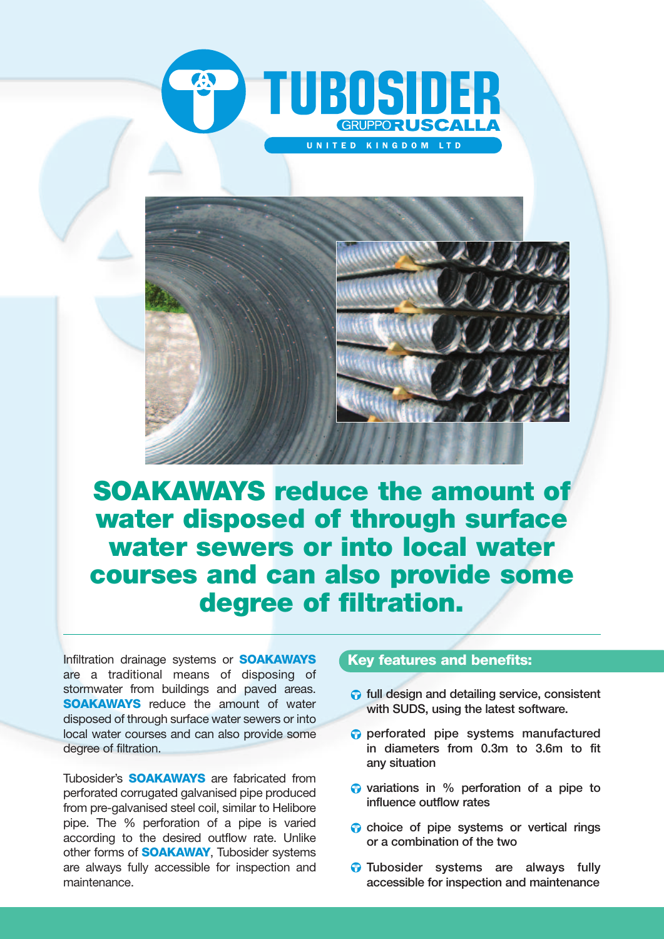



**SOAKAWAYS reduce the amount of water disposed of through surface water sewers or into local water courses and can also provide some degree of filtration.**

Infiltration drainage systems or **SOAKAWAYS** are a traditional means of disposing of stormwater from buildings and paved areas. **SOAKAWAYS** reduce the amount of water disposed of through surface water sewers or into local water courses and can also provide some degree of filtration.

Tubosider's **SOAKAWAYS** are fabricated from perforated corrugated galvanised pipe produced from pre-galvanised steel coil, similar to Helibore pipe. The % perforation of a pipe is varied according to the desired outflow rate. Unlike other forms of **SOAKAWAY**, Tubosider systems are always fully accessible for inspection and maintenance.

#### **Key features and benefits:**

- **full design and detailing service, consistent** with SUDS, using the latest software.
- perforated pipe systems manufactured in diameters from 0.3m to 3.6m to fit any situation
- $\bullet$  variations in % perforation of a pipe to influence outflow rates
- choice of pipe systems or vertical rings or a combination of the two
- **Tubosider** systems are always fully accessible for inspection and maintenance